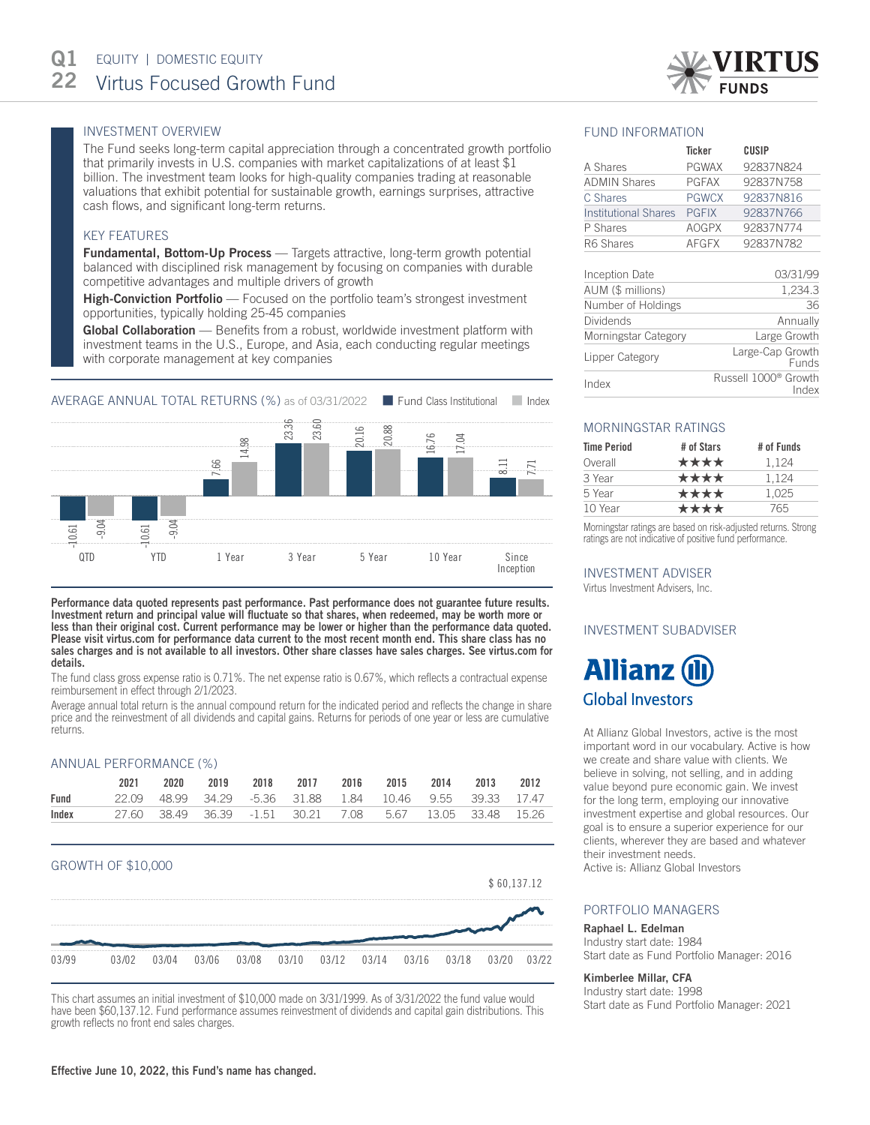# INVESTMENT OVERVIEW

The Fund seeks long-term capital appreciation through a concentrated growth portfolio that primarily invests in U.S. companies with market capitalizations of at least \$1 billion. The investment team looks for high-quality companies trading at reasonable valuations that exhibit potential for sustainable growth, earnings surprises, attractive cash flows, and significant long-term returns.

#### KEY FEATURES

**Fundamental, Bottom-Up Process** — Targets attractive, long-term growth potential balanced with disciplined risk management by focusing on companies with durable competitive advantages and multiple drivers of growth

High-Conviction Portfolio — Focused on the portfolio team's strongest investment opportunities, typically holding 25-45 companies

Global Collaboration — Benefits from a robust, worldwide investment platform with investment teams in the U.S., Europe, and Asia, each conducting regular meetings with corporate management at key companies



Performance data quoted represents past performance. Past performance does not guarantee future results. Investment return and principal value will fluctuate so that shares, when redeemed, may be worth more or less than their original cost. Current performance may be lower or higher than the performance data quoted. Please visit virtus.com for performance data current to the most recent month end. This share class has no sales charges and is not available to all investors. Other share classes have sales charges. See virtus.com for details.

The fund class gross expense ratio is 0.71%. The net expense ratio is 0.67%, which reflects a contractual expense reimbursement in effect through 2/1/2023.

Average annual total return is the annual compound return for the indicated period and reflects the change in share price and the reinvestment of all dividends and capital gains. Returns for periods of one year or less are cumulative returns.

#### ANNUAL PERFORMANCE (%)

|       | 2021 | 2020 |  | 2019 2018 2017 2016 2015 2014 2013 2012                   |  |  |  |
|-------|------|------|--|-----------------------------------------------------------|--|--|--|
| Fund  |      |      |  | 22.09 48.99 34.29 -5.36 31.88 1.84 10.46 9.55 39.33 17.47 |  |  |  |
| Index |      |      |  | 27.60 38.49 36.39 -1.51 30.21 7.08 5.67 13.05 33.48 15.26 |  |  |  |

#### GROWTH OF \$10,000



This chart assumes an initial investment of \$10,000 made on 3/31/1999. As of 3/31/2022 the fund value would have been \$60,137.12. Fund performance assumes reinvestment of dividends and capital gain distributions. This growth reflects no front end sales charges.

### FUND INFORMATION

|                             | <b>Ticker</b> | CUSIP     |
|-----------------------------|---------------|-----------|
| A Shares                    | <b>PGWAX</b>  | 92837N824 |
| <b>ADMIN Shares</b>         | <b>PGFAX</b>  | 92837N758 |
| C Shares                    | <b>PGWCX</b>  | 92837N816 |
| <b>Institutional Shares</b> | <b>PGFIX</b>  | 92837N766 |
| P Shares                    | <b>AOGPX</b>  | 92837N774 |
| R6 Shares                   | <b>AFGFX</b>  | 92837N782 |
|                             |               |           |

| Inception Date       | 03/31/99                                  |
|----------------------|-------------------------------------------|
| AUM (\$ millions)    | 1,234.3                                   |
| Number of Holdings   | 36                                        |
| <b>Dividends</b>     | Annually                                  |
| Morningstar Category | Large Growth                              |
| Lipper Category      | Large-Cap Growth<br><b>Funds</b>          |
| Index                | Russell 1000 <sup>®</sup> Growth<br>Index |

# MORNINGSTAR RATINGS

| <b>Time Period</b> | # of Stars | # of Funds |
|--------------------|------------|------------|
| Overall            | ****       | 1.124      |
| 3 Year             | ****       | 1.124      |
| 5 Year             | ****       | 1.025      |
| 10 Year            | ****       | 765        |

Morningstar ratings are based on risk-adjusted returns. Strong ratings are not indicative of positive fund performance.

#### INVESTMENT ADVISER

Virtus Investment Advisers, Inc.

#### INVESTMENT SUBADVISER



At Allianz Global Investors, active is the most important word in our vocabulary. Active is how we create and share value with clients. We believe in solving, not selling, and in adding value beyond pure economic gain. We invest for the long term, employing our innovative investment expertise and global resources. Our goal is to ensure a superior experience for our clients, wherever they are based and whatever their investment needs.

Active is: Allianz Global Investors

#### PORTFOLIO MANAGERS

#### Raphael L. Edelman

Industry start date: 1984 Start date as Fund Portfolio Manager: 2016

#### Kimberlee Millar, CFA

Industry start date: 1998 Start date as Fund Portfolio Manager: 2021